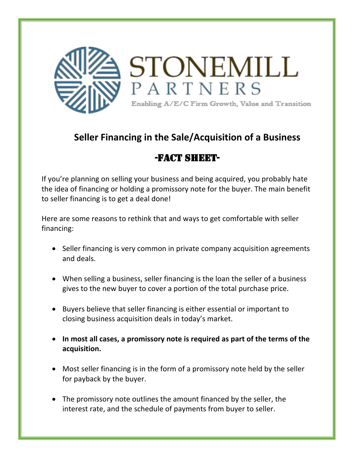

## **Seller Financing in the Sale/Acquisition of a Business**

## -FACT SHEET-

If you're planning on selling your business and being acquired, you probably hate the idea of financing or holding a promissory note for the buyer. The main benefit to seller financing is to get a deal done!

Here are some reasons to rethink that and ways to get comfortable with seller financing:

- Seller financing is very common in private company acquisition agreements and deals.
- When selling a business, seller financing is the loan the seller of a business gives to the new buyer to cover a portion of the total purchase price.
- Buyers believe that seller financing is either essential or important to closing business acquisition deals in today's market.
- In most all cases, a promissory note is required as part of the terms of the **acquisition.**
- Most seller financing is in the form of a promissory note held by the seller for payback by the buyer.
- The promissory note outlines the amount financed by the seller, the interest rate, and the schedule of payments from buyer to seller.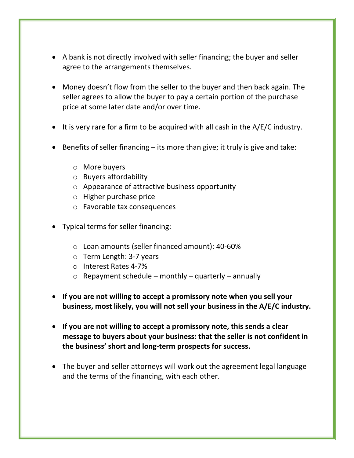- A bank is not directly involved with seller financing; the buyer and seller agree to the arrangements themselves.
- Money doesn't flow from the seller to the buyer and then back again. The seller agrees to allow the buyer to pay a certain portion of the purchase price at some later date and/or over time.
- It is very rare for a firm to be acquired with all cash in the  $A/E/C$  industry.
- Benefits of seller financing  $-$  its more than give; it truly is give and take:
	- $\circ$  More buyers
	- $\circ$  Buyers affordability
	- $\circ$  Appearance of attractive business opportunity
	- $\circ$  Higher purchase price
	- $\circ$  Favorable tax consequences
- Typical terms for seller financing:
	- $\circ$  Loan amounts (seller financed amount): 40-60%
	- $\circ$  Term Length: 3-7 years
	- o Interest Rates 4-7%
	- $\circ$  Repayment schedule monthly quarterly annually
- If you are not willing to accept a promissory note when you sell your business, most likely, you will not sell your business in the A/E/C industry.
- If you are not willing to accept a promissory note, this sends a clear message to buyers about your business: that the seller is not confident in the business' short and long-term prospects for success.
- The buyer and seller attorneys will work out the agreement legal language and the terms of the financing, with each other.